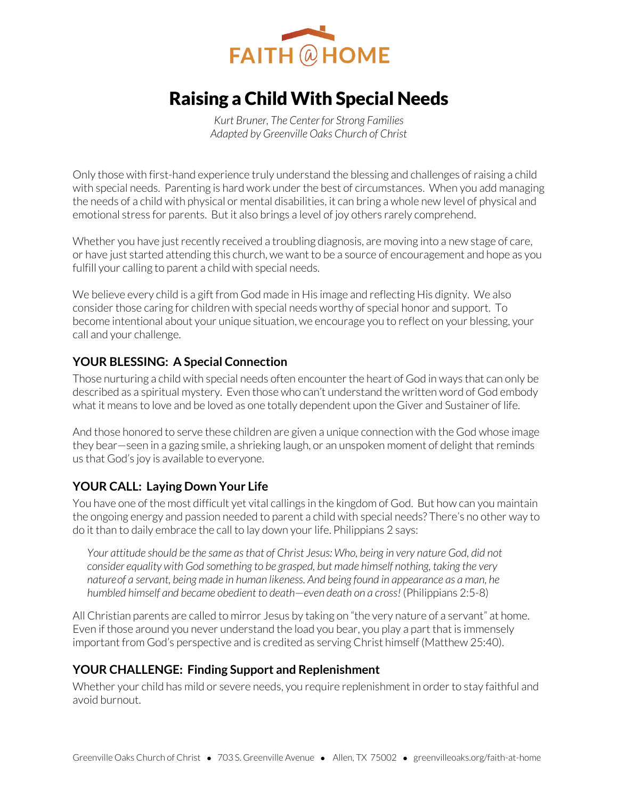

# Raising a Child With Special Needs

*Kurt Bruner, The Center for Strong Families Adapted by Greenville Oaks Church of Christ* 

Only those with first-hand experience truly understand the blessing and challenges of raising a child with special needs. Parenting is hard work under the best of circumstances. When you add managing the needs of a child with physical or mental disabilities, it can bring a whole new level of physical and emotional stress for parents. But it also brings a level of joy others rarely comprehend.

Whether you have just recently received a troubling diagnosis, are moving into a new stage of care, or have just started attending this church, we want to be a source of encouragement and hope as you fulfill your calling to parent a child with special needs.

We believe every child is a gift from God made in His image and reflecting His dignity. We also consider those caring for children with special needs worthy of special honor and support. To become intentional about your unique situation, we encourage you to reflect on your blessing, your call and your challenge.

### **YOUR BLESSING: A Special Connection**

Those nurturing a child with special needs often encounter the heart of God in ways that can only be described as a spiritual mystery. Even those who can't understand the written word of God embody what it means to love and be loved as one totally dependent upon the Giver and Sustainer of life.

And those honored to serve these children are given a unique connection with the God whose image they bear—seen in a gazing smile, a shrieking laugh, or an unspoken moment of delight that reminds us that God's joy is available to everyone.

### **YOUR CALL: Laying Down Your Life**

You have one of the most difficult yet vital callings in the kingdom of God. But how can you maintain the ongoing energy and passion needed to parent a child with special needs? There's no other way to do it than to daily embrace the call to lay down your life. Philippians 2 says:

*Your attitude should be the same as that of Christ Jesus: Who, being in very nature God, did not consider equality with God something to be grasped, but made himself nothing, taking the very natureof a servant, being made in human likeness. And being found in appearance as a man, he humbled himself and became obedient to death*—*even death on a cross!* (Philippians 2:5-8)

All Christian parents are called to mirror Jesus by taking on "the very nature of a servant" at home. Even if those around you never understand the load you bear, you play a part that is immensely important from God's perspective and is credited as serving Christ himself (Matthew 25:40).

### **YOUR CHALLENGE: Finding Support and Replenishment**

Whether your child has mild or severe needs, you require replenishment in order to stay faithful and avoid burnout.